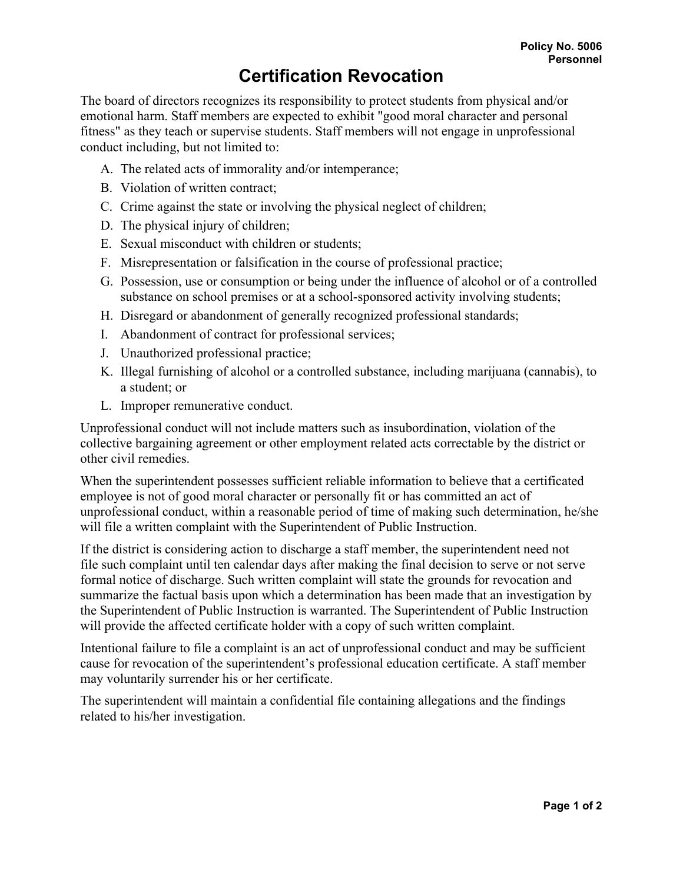## **Certification Revocation**

The board of directors recognizes its responsibility to protect students from physical and/or emotional harm. Staff members are expected to exhibit "good moral character and personal fitness" as they teach or supervise students. Staff members will not engage in unprofessional conduct including, but not limited to:

- A. The related acts of immorality and/or intemperance;
- B. Violation of written contract;
- C. Crime against the state or involving the physical neglect of children;
- D. The physical injury of children;
- E. Sexual misconduct with children or students;
- F. Misrepresentation or falsification in the course of professional practice;
- G. Possession, use or consumption or being under the influence of alcohol or of a controlled substance on school premises or at a school-sponsored activity involving students;
- H. Disregard or abandonment of generally recognized professional standards;
- I. Abandonment of contract for professional services;
- J. Unauthorized professional practice;
- K. Illegal furnishing of alcohol or a controlled substance, including marijuana (cannabis), to a student; or
- L. Improper remunerative conduct.

Unprofessional conduct will not include matters such as insubordination, violation of the collective bargaining agreement or other employment related acts correctable by the district or other civil remedies.

When the superintendent possesses sufficient reliable information to believe that a certificated employee is not of good moral character or personally fit or has committed an act of unprofessional conduct, within a reasonable period of time of making such determination, he/she will file a written complaint with the Superintendent of Public Instruction.

If the district is considering action to discharge a staff member, the superintendent need not file such complaint until ten calendar days after making the final decision to serve or not serve formal notice of discharge. Such written complaint will state the grounds for revocation and summarize the factual basis upon which a determination has been made that an investigation by the Superintendent of Public Instruction is warranted. The Superintendent of Public Instruction will provide the affected certificate holder with a copy of such written complaint.

Intentional failure to file a complaint is an act of unprofessional conduct and may be sufficient cause for revocation of the superintendent's professional education certificate. A staff member may voluntarily surrender his or her certificate.

The superintendent will maintain a confidential file containing allegations and the findings related to his/her investigation.